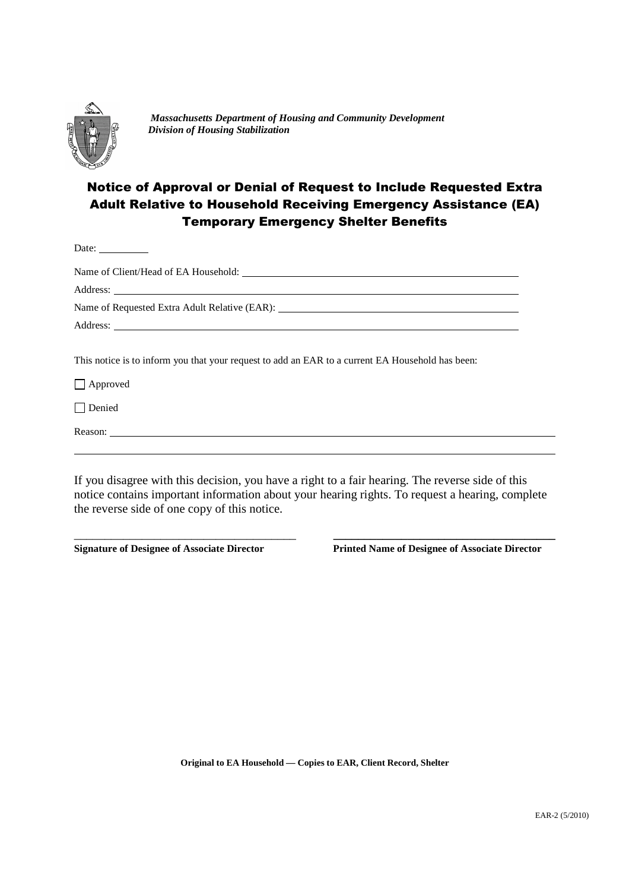

Date:

*Massachusetts Department of Housing and Community Development Division of Housing Stabilization*

# Notice of Approval or Denial of Request to Include Requested Extra Adult Relative to Household Receiving Emergency Assistance (EA) Temporary Emergency Shelter Benefits

This notice is to inform you that your request to add an EAR to a current EA Household has been:

Approved

Denied

Reason:

If you disagree with this decision, you have a right to a fair hearing. The reverse side of this notice contains important information about your hearing rights. To request a hearing, complete the reverse side of one copy of this notice.

\_\_\_\_\_\_\_\_\_\_\_\_\_\_\_\_\_\_\_\_\_\_\_\_\_\_\_\_\_\_\_\_\_\_\_\_ **\_\_\_\_\_\_\_\_\_\_\_\_\_\_\_\_\_\_\_\_\_\_\_\_\_\_\_\_\_\_\_\_\_\_\_\_**

**Signature of Designee of Associate Director Printed Name of Designee of Associate Director**

**Original to EA Household — Copies to EAR, Client Record, Shelter**